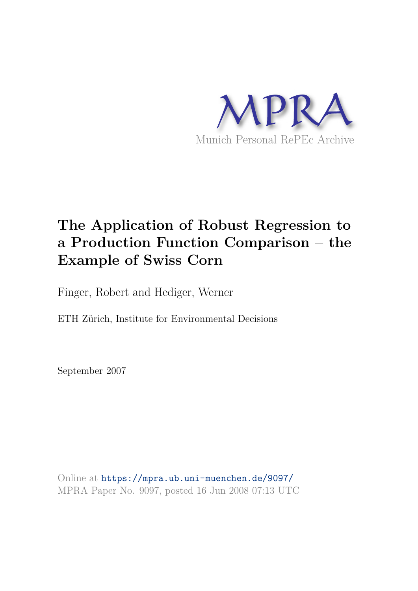

## **The Application of Robust Regression to a Production Function Comparison – the Example of Swiss Corn**

Finger, Robert and Hediger, Werner

ETH Zürich, Institute for Environmental Decisions

September 2007

Online at https://mpra.ub.uni-muenchen.de/9097/ MPRA Paper No. 9097, posted 16 Jun 2008 07:13 UTC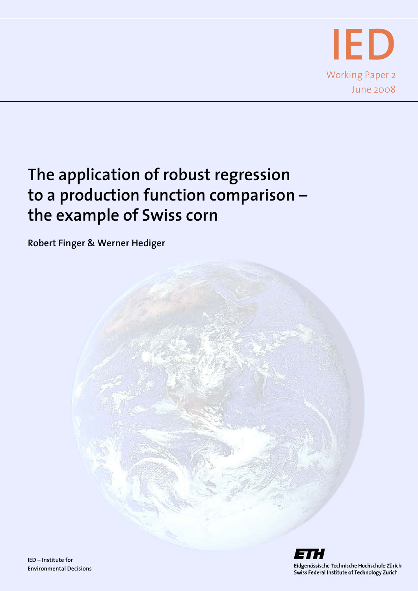

## **The application of robust regression to a production function comparison – the example of Swiss corn**

**Robert Finger & Werner Hediger** 

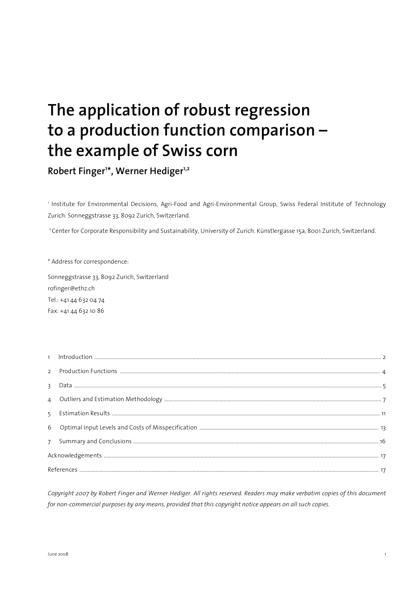# **The application of robust regression to a production function comparison – the example of Swiss corn**

**Robert Finger<sup>1</sup> \*, Werner Hediger1,2**

1 Institute for Environmental Decisions, Agri-Food and Agri-Environmental Group, Swiss Federal Institute of Technology Zurich. Sonneggstrasse 33, 8092 Zurich, Switzerland.

<sup>2</sup> Center for Corporate Responsibility and Sustainability, University of Zurich. Künstlergasse 15a, 8001 Zurich, Switzerland.

\* Address for correspondence:

Sonneggstrasse 33, 8092 Zurich, Switzerland rofinger@ethz.ch Tel.: +41 44 632 04 74 Fax: +41 44 632 10 86

*Copyright 2007 by Robert Finger and Werner Hediger. All rights reserved. Readers may make verbatim copies of this document for non-commercial purposes by any means, provided that this copyright notice appears on all such copies.*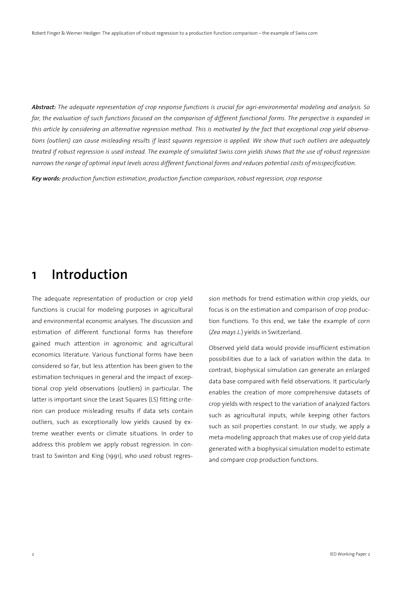*Abstract: The adequate representation of crop response functions is crucial for agri-environmental modeling and analysis. So*  far, the evaluation of such functions focused on the comparison of different functional forms. The perspective is expanded in *this article by considering an alternative regression method. This is motivated by the fact that exceptional crop yield observations (outliers) can cause misleading results if least squares regression is applied. We show that such outliers are adequately treated if robust regression is used instead. The example of simulated Swiss corn yields shows that the use of robust regression narrows the range of optimal input levels across different functional forms and reduces potential costs of misspecification.*

*Key words: production function estimation, production function comparison, robust regression, crop response* 

#### **1 Introduction**

The adequate representation of production or crop yield functions is crucial for modeling purposes in agricultural and environmental economic analyses. The discussion and estimation of different functional forms has therefore gained much attention in agronomic and agricultural economics literature. Various functional forms have been considered so far, but less attention has been given to the estimation techniques in general and the impact of exceptional crop yield observations (outliers) in particular. The latter is important since the Least Squares (LS) fitting criterion can produce misleading results if data sets contain outliers, such as exceptionally low yields caused by extreme weather events or climate situations. In order to address this problem we apply robust regression. In contrast to Swinton and King (1991), who used robust regression methods for trend estimation within crop yields, our focus is on the estimation and comparison of crop production functions. To this end, we take the example of corn (*Zea mays L.*) yields in Switzerland.

Observed yield data would provide insufficient estimation possibilities due to a lack of variation within the data. In contrast, biophysical simulation can generate an enlarged data base compared with field observations. It particularly enables the creation of more comprehensive datasets of crop yields with respect to the variation of analyzed factors such as agricultural inputs, while keeping other factors such as soil properties constant. In our study, we apply a meta-modeling approach that makes use of crop yield data generated with a biophysical simulation model to estimate and compare crop production functions.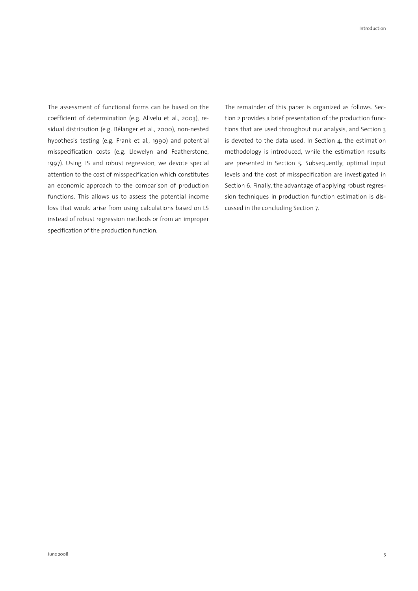The assessment of functional forms can be based on the coefficient of determination (e.g. Alivelu et al., 2003), residual distribution (e.g. Bélanger et al., 2000), non-nested hypothesis testing (e.g. Frank et al., 1990) and potential misspecification costs (e.g. Llewelyn and Featherstone, 1997). Using LS and robust regression, we devote special attention to the cost of misspecification which constitutes an economic approach to the comparison of production functions. This allows us to assess the potential income loss that would arise from using calculations based on LS instead of robust regression methods or from an improper specification of the production function.

The remainder of this paper is organized as follows. Section 2 provides a brief presentation of the production functions that are used throughout our analysis, and Section 3 is devoted to the data used. In Section 4, the estimation methodology is introduced, while the estimation results are presented in Section 5. Subsequently, optimal input levels and the cost of misspecification are investigated in Section 6. Finally, the advantage of applying robust regression techniques in production function estimation is discussed in the concluding Section 7.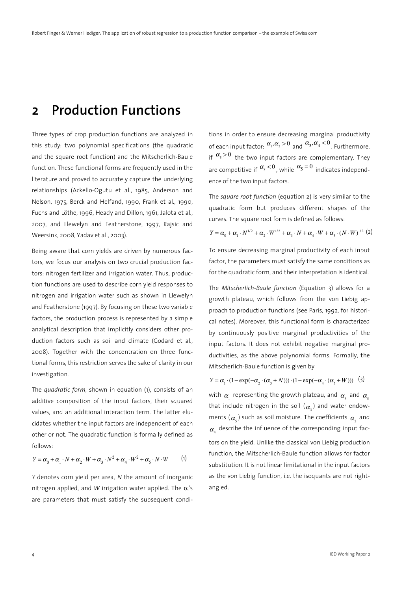#### **2 Production Functions**

Three types of crop production functions are analyzed in this study: two polynomial specifications (the quadratic and the square root function) and the Mitscherlich-Baule function. These functional forms are frequently used in the literature and proved to accurately capture the underlying relationships (Ackello-Ogutu et al., 1985, Anderson and Nelson, 1975, Berck and Helfand, 1990, Frank et al., 1990, Fuchs and Löthe, 1996, Heady and Dillon, 1961, Jalota et al., 2007, and Llewelyn and Featherstone, 1997, Rajsic and Weersink, 2008, Yadav et al., 2003).

Being aware that corn yields are driven by numerous factors, we focus our analysis on two crucial production factors: nitrogen fertilizer and irrigation water. Thus, production functions are used to describe corn yield responses to nitrogen and irrigation water such as shown in Llewelyn and Featherstone (1997). By focusing on these two variable factors, the production process is represented by a simple analytical description that implicitly considers other production factors such as soil and climate (Godard et al., 2008). Together with the concentration on three functional forms, this restriction serves the sake of clarity in our investigation.

The *quadratic form*, shown in equation (1), consists of an additive composition of the input factors, their squared values, and an additional interaction term. The latter elucidates whether the input factors are independent of each other or not. The quadratic function is formally defined as follows:

$$
Y = \alpha_0 + \alpha_1 \cdot N + \alpha_2 \cdot W + \alpha_3 \cdot N^2 + \alpha_4 \cdot W^2 + \alpha_5 \cdot N \cdot W \tag{1}
$$

*Y* denotes corn yield per area, *N* the amount of inorganic nitrogen applied, and W irrigation water applied. The  $\alpha_i$ 's are parameters that must satisfy the subsequent conditions in order to ensure decreasing marginal productivity of each input factor:  $\alpha_1, \alpha_2 > 0$  and  $\alpha_3, \alpha_4 < 0$  . Furthermore, if  $\alpha_s > 0$  the two input factors are complementary. They are competitive if  $\alpha_s < 0$ , while  $\alpha_5 = 0$  indicates independence of the two input factors.

The *square root function* (equation 2) is very similar to the quadratic form but produces different shapes of the curves. The square root form is defined as follows:

$$
Y = \alpha_0 + \alpha_1 \cdot N^{1/2} + \alpha_2 \cdot W^{1/2} + \alpha_3 \cdot N + \alpha_4 \cdot W + \alpha_5 \cdot (N \cdot W)^{1/2} (2)
$$

To ensure decreasing marginal productivity of each input factor, the parameters must satisfy the same conditions as for the quadratic form, and their interpretation is identical.

The *Mitscherlich-Baule function* (Equation 3) allows for a growth plateau, which follows from the von Liebig approach to production functions (see Paris, 1992, for historical notes). Moreover, this functional form is characterized by continuously positive marginal productivities of the input factors. It does not exhibit negative marginal productivities, as the above polynomial forms. Formally, the Mitscherlich-Baule function is given by

$$
Y = \alpha_1 \cdot (1 - \exp(-\alpha_2 \cdot (\alpha_3 + N))) \cdot (1 - \exp(-\alpha_4 \cdot (\alpha_5 + W))) \quad (3)
$$

with  $\alpha_{_{\!1}}$  representing the growth plateau, and  $\alpha_{_{\!3}}$  and  $\alpha_{_{\!5}}$ that include nitrogen in the soil  $(\alpha_{_3})$  and water endowments  $(\alpha_{\mathsf{s}})$  such as soil moisture. The coefficients  $\alpha_{\mathsf{s}}$  and  $\alpha_{_4}$  describe the influence of the corresponding input factors on the yield. Unlike the classical von Liebig production function, the Mitscherlich-Baule function allows for factor substitution. It is not linear limitational in the input factors as the von Liebig function, i.e. the isoquants are not rightangled.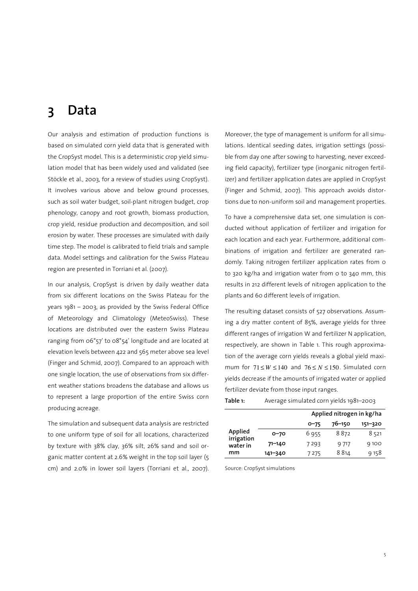#### **3 Data**

Our analysis and estimation of production functions is based on simulated corn yield data that is generated with the CropSyst model. This is a deterministic crop yield simulation model that has been widely used and validated (see Stöckle et al., 2003, for a review of studies using CropSyst). It involves various above and below ground processes, such as soil water budget, soil-plant nitrogen budget, crop phenology, canopy and root growth, biomass production, crop yield, residue production and decomposition, and soil erosion by water. These processes are simulated with daily time step. The model is calibrated to field trials and sample data. Model settings and calibration for the Swiss Plateau region are presented in Torriani et al. (2007).

In our analysis, CropSyst is driven by daily weather data from six different locations on the Swiss Plateau for the years 1981 – 2003, as provided by the Swiss Federal Office of Meteorology and Climatology (MeteoSwiss). These locations are distributed over the eastern Swiss Plateau ranging from 06°57' to 08°54' longitude and are located at elevation levels between 422 and 565 meter above sea level (Finger and Schmid, 2007). Compared to an approach with one single location, the use of observations from six different weather stations broadens the database and allows us to represent a large proportion of the entire Swiss corn producing acreage.

The simulation and subsequent data analysis are restricted to one uniform type of soil for all locations, characterized by texture with 38% clay, 36% silt, 26% sand and soil organic matter content at 2.6% weight in the top soil layer (5 cm) and 2.0% in lower soil layers (Torriani et al., 2007). Moreover, the type of management is uniform for all simulations. Identical seeding dates, irrigation settings (possible from day one after sowing to harvesting, never exceeding field capacity), fertilizer type (inorganic nitrogen fertilizer) and fertilizer application dates are applied in CropSyst (Finger and Schmid, 2007). This approach avoids distortions due to non-uniform soil and management properties.

To have a comprehensive data set, one simulation is conducted without application of fertilizer and irrigation for each location and each year. Furthermore, additional combinations of irrigation and fertilizer are generated randomly. Taking nitrogen fertilizer application rates from 0 to 320 kg/ha and irrigation water from 0 to 340 mm, this results in 212 different levels of nitrogen application to the plants and 60 different levels of irrigation.

The resulting dataset consists of 527 observations. Assuming a dry matter content of 85%, average yields for three different ranges of irrigation W and fertilizer N application, respectively, are shown in Table 1. This rough approximation of the average corn yields reveals a global yield maximum for  $71 \leq W \leq 140$  and  $76 \leq N \leq 150$ . Simulated corn yields decrease if the amounts of irrigated water or applied fertilizer deviate from those input ranges.

|  |  | Table 1: | Average simulated corn yields 1981-2003 |  |  |  |  |  |  |
|--|--|----------|-----------------------------------------|--|--|--|--|--|--|
|--|--|----------|-----------------------------------------|--|--|--|--|--|--|

|                       |         |            | Applied nitrogen in kg/ha |       |  |  |
|-----------------------|---------|------------|---------------------------|-------|--|--|
|                       |         | $76 - 150$ | 151-320                   |       |  |  |
| Applied<br>irrigation | $O-7O$  | 6955       | 8872                      | 8 521 |  |  |
| water in              | 71–140  | 7293       | 9 717                     | 9100  |  |  |
| mm                    | 141–340 | 7275       | 8 8 14                    | 9 158 |  |  |

Source: CropSyst simulations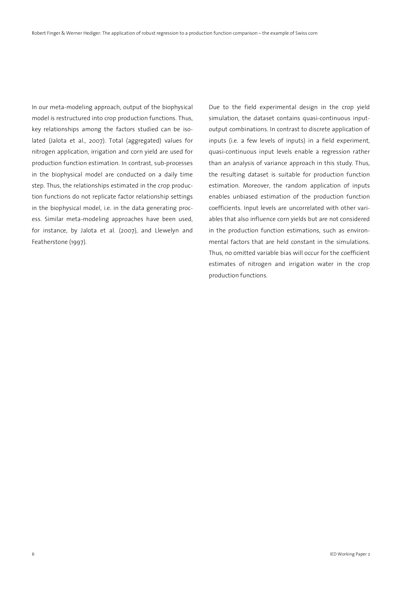In our meta-modeling approach, output of the biophysical model is restructured into crop production functions. Thus, key relationships among the factors studied can be isolated (Jalota et al., 2007). Total (aggregated) values for nitrogen application, irrigation and corn yield are used for production function estimation. In contrast, sub-processes in the biophysical model are conducted on a daily time step. Thus, the relationships estimated in the crop production functions do not replicate factor relationship settings in the biophysical model, i.e. in the data generating process. Similar meta-modeling approaches have been used, for instance, by Jalota et al. (2007), and Llewelyn and Featherstone (1997).

Due to the field experimental design in the crop yield simulation, the dataset contains quasi-continuous inputoutput combinations. In contrast to discrete application of inputs (i.e. a few levels of inputs) in a field experiment, quasi-continuous input levels enable a regression rather than an analysis of variance approach in this study. Thus, the resulting dataset is suitable for production function estimation. Moreover, the random application of inputs enables unbiased estimation of the production function coefficients. Input levels are uncorrelated with other variables that also influence corn yields but are not considered in the production function estimations, such as environmental factors that are held constant in the simulations. Thus, no omitted variable bias will occur for the coefficient estimates of nitrogen and irrigation water in the crop production functions.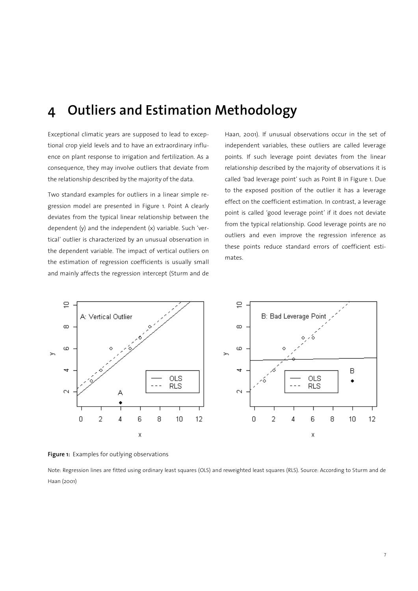## **4 Outliers and Estimation Methodology**

Exceptional climatic years are supposed to lead to exceptional crop yield levels and to have an extraordinary influence on plant response to irrigation and fertilization. As a consequence, they may involve outliers that deviate from the relationship described by the majority of the data.

Two standard examples for outliers in a linear simple regression model are presented in Figure 1. Point A clearly deviates from the typical linear relationship between the dependent (y) and the independent (x) variable. Such 'vertical' outlier is characterized by an unusual observation in the dependent variable. The impact of vertical outliers on the estimation of regression coefficients is usually small and mainly affects the regression intercept (Sturm and de Haan, 2001). If unusual observations occur in the set of independent variables, these outliers are called leverage points. If such leverage point deviates from the linear relationship described by the majority of observations it is called 'bad leverage point' such as Point B in Figure 1. Due to the exposed position of the outlier it has a leverage effect on the coefficient estimation. In contrast, a leverage point is called 'good leverage point' if it does not deviate from the typical relationship. Good leverage points are no outliers and even improve the regression inference as these points reduce standard errors of coefficient estimates.



**Figure 1:** Examples for outlying observations

Note: Regression lines are fitted using ordinary least squares (OLS) and reweighted least squares (RLS). Source: According to Sturm and de Haan (2001)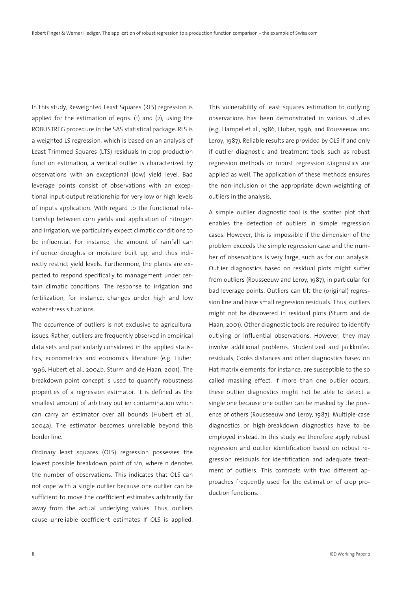In this study, Reweighted Least Squares (RLS) regression is applied for the estimation of eqns. (1) and (2), using the ROBUSTREG procedure in the SAS statistical package. RLS is a weighted LS regression, which is based on an analysis of Least Trimmed Squares (LTS) residuals In crop production function estimation, a vertical outlier is characterized by observations with an exceptional (low) yield level. Bad leverage points consist of observations with an exceptional input-output relationship for very low or high levels of inputs application. With regard to the functional relationship between corn yields and application of nitrogen and irrigation, we particularly expect climatic conditions to be influential. For instance, the amount of rainfall can influence droughts or moisture built up, and thus indirectly restrict yield levels. Furthermore, the plants are expected to respond specifically to management under certain climatic conditions. The response to irrigation and fertilization, for instance, changes under high and low water stress situations.

The occurrence of outliers is not exclusive to agricultural issues. Rather, outliers are frequently observed in empirical data sets and particularly considered in the applied statistics, econometrics and economics literature (e.g. Huber, 1996, Hubert et al., 2004b, Sturm and de Haan, 2001). The breakdown point concept is used to quantify robustness properties of a regression estimator. It is defined as the smallest amount of arbitrary outlier contamination which can carry an estimator over all bounds (Hubert et al., 2004a). The estimator becomes unreliable beyond this border line.

Ordinary least squares (OLS) regression possesses the lowest possible breakdown point of 1/n, where n denotes the number of observations. This indicates that OLS can not cope with a single outlier because one outlier can be sufficient to move the coefficient estimates arbitrarily far away from the actual underlying values. Thus, outliers cause unreliable coefficient estimates if OLS is applied.

This vulnerability of least squares estimation to outlying observations has been demonstrated in various studies (e.g. Hampel et al., 1986, Huber, 1996, and Rousseeuw and Leroy, 1987). Reliable results are provided by OLS if and only if outlier diagnostic and treatment tools such as robust regression methods or robust regression diagnostics are applied as well. The application of these methods ensures the non-inclusion or the appropriate down-weighting of outliers in the analysis.

A simple outlier diagnostic tool is the scatter plot that enables the detection of outliers in simple regression cases. However, this is impossible if the dimension of the problem exceeds the simple regression case and the number of observations is very large, such as for our analysis. Outlier diagnostics based on residual plots might suffer from outliers (Rousseeuw and Leroy, 1987), in particular for bad leverage points. Outliers can tilt the (original) regression line and have small regression residuals. Thus, outliers might not be discovered in residual plots (Sturm and de Haan, 2001). Other diagnostic tools are required to identify outlying or influential observations. However, they may involve additional problems. Studentized and jackknifed residuals, Cooks distances and other diagnostics based on Hat matrix elements, for instance, are susceptible to the so called masking effect. If more than one outlier occurs, these outlier diagnostics might not be able to detect a single one because one outlier can be masked by the presence of others (Rousseeuw and Leroy, 1987). Multiple-case diagnostics or high-breakdown diagnostics have to be employed instead. In this study we therefore apply robust regression and outlier identification based on robust regression residuals for identification and adequate treatment of outliers. This contrasts with two different approaches frequently used for the estimation of crop production functions.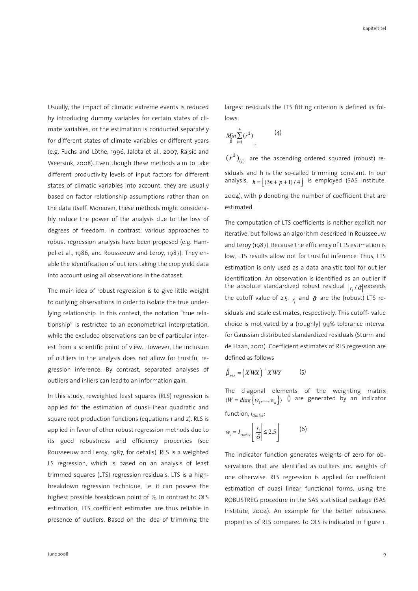Usually, the impact of climatic extreme events is reduced by introducing dummy variables for certain states of climate variables, or the estimation is conducted separately for different states of climate variables or different years (e.g. Fuchs and Löthe, 1996, Jalota et al., 2007, Rajsic and Weersink, 2008). Even though these methods aim to take different productivity levels of input factors for different states of climatic variables into account, they are usually based on factor relationship assumptions rather than on the data itself. Moreover, these methods might considerably reduce the power of the analysis due to the loss of degrees of freedom. In contrast, various approaches to robust regression analysis have been proposed (e.g. Hampel et al., 1986, and Rousseeuw and Leroy, 1987). They enable the identification of outliers taking the crop yield data into account using all observations in the dataset.

The main idea of robust regression is to give little weight to outlying observations in order to isolate the true underlying relationship. In this context, the notation "true relationship" is restricted to an econometrical interpretation, while the excluded observations can be of particular interest from a scientific point of view. However, the inclusion of outliers in the analysis does not allow for trustful regression inference. By contrast, separated analyses of outliers and inliers can lead to an information gain.

In this study, reweighted least squares (RLS) regression is applied for the estimation of quasi-linear quadratic and square root production functions (equations 1 and 2). RLS is applied in favor of other robust regression methods due to its good robustness and efficiency properties (see Rousseeuw and Leroy, 1987, for details). RLS is a weighted LS regression, which is based on an analysis of least trimmed squares (LTS) regression residuals. LTS is a highbreakdown regression technique, i.e. it can possess the highest possible breakdown point of  $\frac{1}{2}$ . In contrast to OLS estimation, LTS coefficient estimates are thus reliable in presence of outliers. Based on the idea of trimming the largest residuals the LTS fitting criterion is defined as follows:

$$
\underset{\hat{\beta}}{\text{Min}} \sum_{i=1}^{h} (r^2) \tag{4}
$$

 $(r^{2})_{(i)}$  are the ascending ordered squared (robust) residuals and h is the so-called trimming constant. In our analysis,  $h = [(3n + p + 1)/4]$  is employed (SAS Institute, 2004), with p denoting the number of coefficient that are estimated.

The computation of LTS coefficients is neither explicit nor iterative, but follows an algorithm described in Rousseeuw and Leroy (1987). Because the efficiency of LTS estimation is low, LTS results allow not for trustful inference. Thus, LTS estimation is only used as a data analytic tool for outlier identification. An observation is identified as an outlier if the absolute standardized robust residual  $|r_i\wr\hat{\sigma}|$ exceeds the cutoff value of 2.5.  $r_{\vec{i}}$  and  $\hat{\sigma}$  are the (robust) LTS residuals and scale estimates, respectively. This cutoff- value choice is motivated by a (roughly) 99% tolerance interval for Gaussian distributed standardized residuals (Sturm and de Haan, 2001). Coefficient estimates of RLS regression are defined as follows

$$
\hat{\beta}_{\text{RLS}} = \left(X^{\dagger}WX\right)^{-1} X^{\dagger}WY \tag{5}
$$

The diagonal elements of the weighting matrix  $(W = diag\{w_1,..., w_n\})$  () are generated by an indicator function, *IOutlier*:

$$
w_i = I_{\text{outlier}} \left[ \left| \frac{r_i}{\hat{\sigma}} \right| \le 2.5 \right] \tag{6}
$$

The indicator function generates weights of zero for observations that are identified as outliers and weights of one otherwise. RLS regression is applied for coefficient estimation of quasi linear functional forms, using the ROBUSTREG procedure in the SAS statistical package (SAS Institute, 2004). An example for the better robustness properties of RLS compared to OLS is indicated in Figure 1.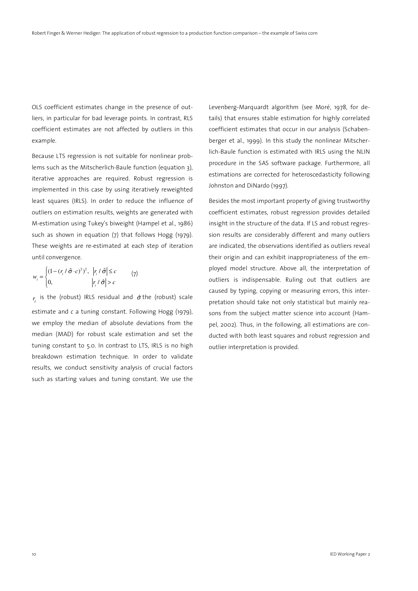OLS coefficient estimates change in the presence of outliers, in particular for bad leverage points. In contrast, RLS coefficient estimates are not affected by outliers in this example.

Because LTS regression is not suitable for nonlinear problems such as the Mitscherlich-Baule function (equation 3), iterative approaches are required. Robust regression is implemented in this case by using iteratively reweighted least squares (IRLS). In order to reduce the influence of outliers on estimation results, weights are generated with M-estimation using Tukey's biweight (Hampel et al., 1986) such as shown in equation (7) that follows Hogg (1979). These weights are re-estimated at each step of iteration until convergence.

$$
w_i = \begin{cases} (1 - (r_i / \hat{\sigma} \cdot c)^2)^2, & |r_i / \hat{\sigma}| \le c \\ 0, & |r_i / \hat{\sigma}| > c \end{cases} \tag{7}
$$

 $r_i$  is the (robust) IRLS residual and  $\hat{\sigma}$  the (robust) scale estimate and *c* a tuning constant. Following Hogg (1979), we employ the median of absolute deviations from the median (MAD) for robust scale estimation and set the tuning constant to 5.0. In contrast to LTS, IRLS is no high breakdown estimation technique. In order to validate results, we conduct sensitivity analysis of crucial factors such as starting values and tuning constant. We use the

Levenberg-Marquardt algorithm (see Moré, 1978, for details) that ensures stable estimation for highly correlated coefficient estimates that occur in our analysis (Schabenberger et al., 1999). In this study the nonlinear Mitscherlich-Baule function is estimated with IRLS using the NLIN procedure in the SAS software package. Furthermore, all estimations are corrected for heteroscedasticity following Johnston and DiNardo (1997).

Besides the most important property of giving trustworthy coefficient estimates, robust regression provides detailed insight in the structure of the data. If LS and robust regression results are considerably different and many outliers are indicated, the observations identified as outliers reveal their origin and can exhibit inappropriateness of the employed model structure. Above all, the interpretation of outliers is indispensable. Ruling out that outliers are caused by typing, copying or measuring errors, this interpretation should take not only statistical but mainly reasons from the subject matter science into account (Hampel, 2002). Thus, in the following, all estimations are conducted with both least squares and robust regression and outlier interpretation is provided.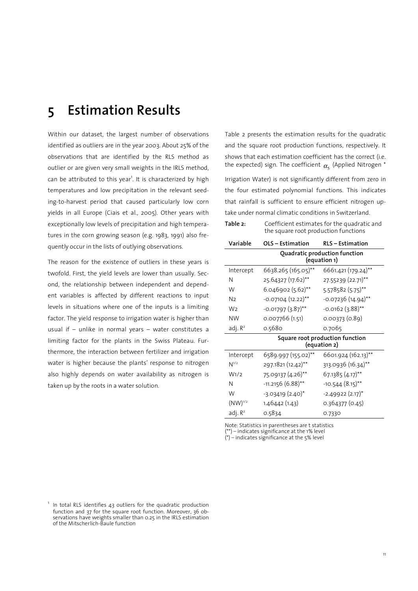### **5 Estimation Results**

Within our dataset, the largest number of observations identified as outliers are in the year 2003. About 25% of the observations that are identified by the RLS method as outlier or are given very small weights in the IRLS method, can be attributed to this year<sup>1</sup>. It is characterized by high temperatures and low precipitation in the relevant seeding-to-harvest period that caused particularly low corn yields in all Europe (Ciais et al., 2005). Other years with exceptionally low levels of precipitation and high temperatures in the corn growing season (e.g. 1983, 1991) also frequently occur in the lists of outlying observations.

The reason for the existence of outliers in these years is twofold. First, the yield levels are lower than usually. Second, the relationship between independent and dependent variables is affected by different reactions to input levels in situations where one of the inputs is a limiting factor. The yield response to irrigation water is higher than usual if – unlike in normal years – water constitutes a limiting factor for the plants in the Swiss Plateau. Furthermore, the interaction between fertilizer and irrigation water is higher because the plants' response to nitrogen also highly depends on water availability as nitrogen is taken up by the roots in a water solution.

Table 2 presents the estimation results for the quadratic and the square root production functions, respectively. It shows that each estimation coefficient has the correct (i.e. the expected) sign. The coefficient  $\alpha_{_5}$  (Applied Nitrogen  $^*$ 

Irrigation Water) is not significantly different from zero in the four estimated polynomial functions. This indicates that rainfall is sufficient to ensure efficient nitrogen uptake under normal climatic conditions in Switzerland.

| Table 2:         | Coefficient estimates for the quadratic and<br>the square root production functions |                                               |  |  |
|------------------|-------------------------------------------------------------------------------------|-----------------------------------------------|--|--|
| Variable         | OLS - Estimation                                                                    | <b>RLS - Estimation</b>                       |  |  |
|                  |                                                                                     | Quadratic production function<br>(equation 1) |  |  |
| Intercept        | 6638.265 (165.05)**                                                                 | 6661.421 (179.24)**                           |  |  |
| N                | 25.64327 (17.62)**                                                                  | 27.55239 (22.71)**                            |  |  |
| W                | 6.046902 (5.62)**                                                                   | 5.578582 (5.75)**                             |  |  |
| N <sub>2</sub>   | $-0.07104$ (12.22) <sup>**</sup>                                                    | -0.07236 (14.94)**                            |  |  |
| W <sub>2</sub>   | $-0.01797(3.87)$ **                                                                 | $-0.0162(3.88)$ **                            |  |  |
| <b>NW</b>        | 0.007766(1.51)                                                                      | 0.00373(0.89)                                 |  |  |
| adj. $R^2$       | 0.5680                                                                              | 0.7065                                        |  |  |
|                  | Square root production function<br>(equation 2)                                     |                                               |  |  |
| Intercept        | 6589.997 (155.02)**                                                                 | 6601.924 (162.13)**                           |  |  |
| $N^{1/2}$        | 297.1821 (12.42)**                                                                  | 313.0936 (16.34)**                            |  |  |
| W <sub>1/2</sub> | 75.09137 (4.26)**                                                                   | 67.1385 (4.17)**                              |  |  |
| N                | $-11.2156(6.88)$ **                                                                 | $-10.544(8.15)$ **                            |  |  |
| W                | $-3.03419(2.40)$ *                                                                  | $-2.49922(2.17)$ <sup>*</sup>                 |  |  |
| $(NW)^{1/2}$     | 1.46442 (1.43)                                                                      | 0.364377 (0.45)                               |  |  |
| adj. $R^2$       | 0.5834                                                                              | 0.7330                                        |  |  |

Note: Statistics in parentheses are t statistics  $(**)$  – indicates significance at the 1% level  $(*)$  – indicates significance at the 5% level

<sup>1</sup> In total RLS identifies 43 outliers for the quadratic production function and 37 for the square root function. Moreover, 36 observations have weights smaller than 0.25 in the IRLS estimation of the Mitscherlich-Baule function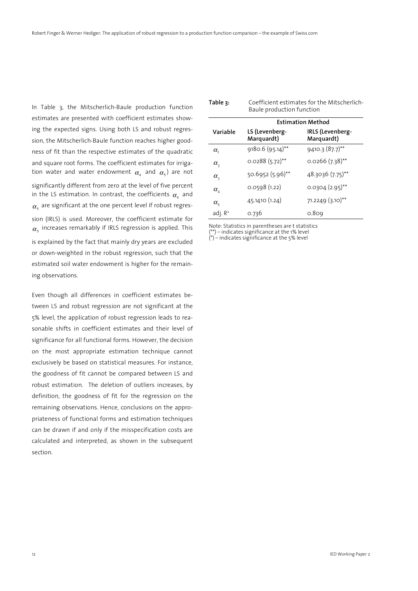In Table 3, the Mitscherlich-Baule production function estimates are presented with coefficient estimates showing the expected signs. Using both LS and robust regression, the Mitscherlich-Baule function reaches higher goodness of fit than the respective estimates of the quadratic and square root forms. The coefficient estimates for irrigation water and water endowment  $\alpha_{\scriptscriptstyle 4}$  and  $\alpha_{\scriptscriptstyle 5}$ ) are not significantly different from zero at the level of five percent in the LS estimation. In contrast, the coefficients  $\alpha_{\scriptscriptstyle 4}^{}$  and  $\alpha_{\text{s}}$  are significant at the one percent level if robust regression (IRLS) is used. Moreover, the coefficient estimate for  $\alpha_{\rm s}$  increases remarkably if IRLS regression is applied. This is explained by the fact that mainly dry years are excluded or down-weighted in the robust regression, such that the estimated soil water endowment is higher for the remaining observations.

Even though all differences in coefficient estimates between LS and robust regression are not significant at the 5% level, the application of robust regression leads to reasonable shifts in coefficient estimates and their level of significance for all functional forms. However, the decision on the most appropriate estimation technique cannot exclusively be based on statistical measures. For instance, the goodness of fit cannot be compared between LS and robust estimation. The deletion of outliers increases, by definition, the goodness of fit for the regression on the remaining observations. Hence, conclusions on the appropriateness of functional forms and estimation techniques can be drawn if and only if the misspecification costs are calculated and interpreted, as shown in the subsequent section.

| Table 3:                               | Coefficient estimates for the Mitscherlich-<br>Baule production function |                                |  |  |  |
|----------------------------------------|--------------------------------------------------------------------------|--------------------------------|--|--|--|
|                                        |                                                                          | <b>Estimation Method</b>       |  |  |  |
| Variable                               | LS (Levenberg-<br>Marquardt)                                             | IRLS (Levenberg-<br>Marquardt) |  |  |  |
| $\alpha_{1}$                           | $9180.6(95.14)$ **                                                       | $9410.3(87.7)$ **              |  |  |  |
| $\alpha$ ,                             | $0.0288(5.72)$ **                                                        | $0.0266$ (7.38)**              |  |  |  |
| $\alpha_{\scriptscriptstyle 2}$        | 50.6952 (5.96)**                                                         | 48.3036 (7.75)**               |  |  |  |
| $\alpha_{\scriptscriptstyle A}$        | 0.0598(1.22)                                                             | $0.0304(2.95)$ <sup>**</sup>   |  |  |  |
| $\alpha_{\scriptscriptstyle\varsigma}$ | 45.1410 (1.24)                                                           | 71.2249 (3.10)**               |  |  |  |
| adj. $R^2$                             | 0.736                                                                    | 0.809                          |  |  |  |

Note: Statistics in parentheses are t statistics (\*\*) – indicates significance at the 1% level  $(*)$  – indicates significance at the 5% level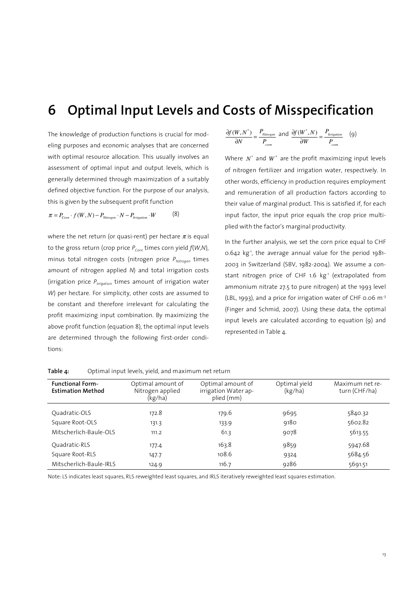### **6 Optimal Input Levels and Costs of Misspecification**

The knowledge of production functions is crucial for modeling purposes and economic analyses that are concerned with optimal resource allocation. This usually involves an assessment of optimal input and output levels, which is generally determined through maximization of a suitably defined objective function. For the purpose of our analysis, this is given by the subsequent profit function

$$
\pi = P_{\text{Com}} \cdot f(W, N) - P_{\text{Nitrogen}} \cdot N - P_{\text{irrigation}} \cdot W \tag{8}
$$

where the net return (or quasi-rent) per hectare  $\pi$  is equal to the gross return (crop price *PCorn* times corn yield *f*(*W*,*N*), minus total nitrogen costs (nitrogen price *PNitrogen* times amount of nitrogen applied *N*) and total irrigation costs (irrigation price *PIrrigation* times amount of irrigation water *W*) per hectare. For simplicity, other costs are assumed to be constant and therefore irrelevant for calculating the profit maximizing input combination. By maximizing the above profit function (equation 8), the optimal input levels are determined through the following first-order conditions:

$$
\frac{\partial f(W, N^*)}{\partial N} = \frac{P_{Nitrogen}}{P_{con}} \text{ and } \frac{\partial f(W^*, N)}{\partial W} = \frac{P_{trigation}}{P_{con}} \quad (9)
$$

Where  $N^*$  and  $W^*$  are the profit maximizing input levels of nitrogen fertilizer and irrigation water, respectively. In other words, efficiency in production requires employment and remuneration of all production factors according to their value of marginal product. This is satisfied if, for each input factor, the input price equals the crop price multiplied with the factor's marginal productivity.

In the further analysis, we set the corn price equal to CHF 0.642 kg-1, the average annual value for the period 1981- 2003 in Switzerland (SBV, 1982-2004). We assume a constant nitrogen price of CHF 1.6 kg<sup>-1</sup> (extrapolated from ammonium nitrate 27.5 to pure nitrogen) at the 1993 level (LBL, 1993), and a price for irrigation water of CHF 0.06  $m<sup>-3</sup>$ (Finger and Schmid, 2007). Using these data, the optimal input levels are calculated according to equation (9) and represented in Table 4.

| <b>Functional Form-</b><br><b>Estimation Method</b> | Optimal amount of<br>Nitrogen applied<br>(kg/ha) | Optimal amount of<br>irrigation Water ap-<br>plied (mm) | Optimal yield<br>(kg/ha) | Maximum net re-<br>turn (CHF/ha) |
|-----------------------------------------------------|--------------------------------------------------|---------------------------------------------------------|--------------------------|----------------------------------|
| Ouadratic-OLS                                       | 172.8                                            | 179.6                                                   | 9695                     | 5840.32                          |
| Square Root-OLS                                     | 131.3                                            | 133.9                                                   | 9180                     | 5602.82                          |
| Mitscherlich-Baule-OLS                              | 111.2                                            | 61.3                                                    | 9078                     | 5613.55                          |
| Ouadratic-RLS                                       | 177.4                                            | 163.8                                                   | 9859                     | 5947.68                          |
| Square Root-RLS                                     | 147.7                                            | 108.6                                                   | 9324                     | 5684.56                          |
| Mitscherlich-Baule-IRLS                             | 124.9                                            | 116.7                                                   | 9286                     | 5691.51                          |

| Table 4: |  |  | Optimal input levels, yield, and maximum net return |
|----------|--|--|-----------------------------------------------------|
|----------|--|--|-----------------------------------------------------|

Note: LS indicates least squares, RLS reweighted least squares, and IRLS iteratively reweighted least squares estimation.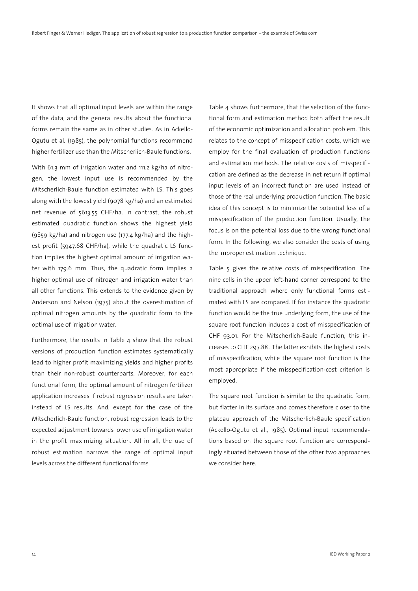It shows that all optimal input levels are within the range of the data, and the general results about the functional forms remain the same as in other studies. As in Ackello-Ogutu et al. (1985), the polynomial functions recommend higher fertilizer use than the Mitscherlich-Baule functions.

With 61.3 mm of irrigation water and 111.2 kg/ha of nitrogen, the lowest input use is recommended by the Mitscherlich-Baule function estimated with LS. This goes along with the lowest yield (9078 kg/ha) and an estimated net revenue of 5613.55 CHF/ha. In contrast, the robust estimated quadratic function shows the highest yield (9859 kg/ha) and nitrogen use (177.4 kg/ha) and the highest profit (5947.68 CHF/ha), while the quadratic LS function implies the highest optimal amount of irrigation water with 179.6 mm. Thus, the quadratic form implies a higher optimal use of nitrogen and irrigation water than all other functions. This extends to the evidence given by Anderson and Nelson (1975) about the overestimation of optimal nitrogen amounts by the quadratic form to the optimal use of irrigation water.

Furthermore, the results in Table  $4$  show that the robust versions of production function estimates systematically lead to higher profit maximizing yields and higher profits than their non-robust counterparts. Moreover, for each functional form, the optimal amount of nitrogen fertilizer application increases if robust regression results are taken instead of LS results. And, except for the case of the Mitscherlich-Baule function, robust regression leads to the expected adjustment towards lower use of irrigation water in the profit maximizing situation. All in all, the use of robust estimation narrows the range of optimal input levels across the different functional forms.

Table 4 shows furthermore, that the selection of the functional form and estimation method both affect the result of the economic optimization and allocation problem. This relates to the concept of misspecification costs, which we employ for the final evaluation of production functions and estimation methods. The relative costs of misspecification are defined as the decrease in net return if optimal input levels of an incorrect function are used instead of those of the real underlying production function. The basic idea of this concept is to minimize the potential loss of a misspecification of the production function. Usually, the focus is on the potential loss due to the wrong functional form. In the following, we also consider the costs of using the improper estimation technique.

Table 5 gives the relative costs of misspecification. The nine cells in the upper left-hand corner correspond to the traditional approach where only functional forms estimated with LS are compared. If for instance the quadratic function would be the true underlying form, the use of the square root function induces a cost of misspecification of CHF 93.01. For the Mitscherlich-Baule function, this increases to CHF 297.88 . The latter exhibits the highest costs of misspecification, while the square root function is the most appropriate if the misspecification-cost criterion is employed.

The square root function is similar to the quadratic form, but flatter in its surface and comes therefore closer to the plateau approach of the Mitscherlich-Baule specification (Ackello-Ogutu et al., 1985). Optimal input recommendations based on the square root function are correspondingly situated between those of the other two approaches we consider here.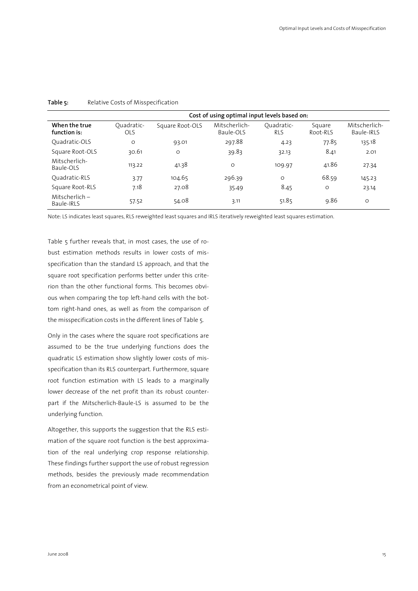|                                | Cost of using optimal input levels based on: |                 |                            |                          |                    |                             |
|--------------------------------|----------------------------------------------|-----------------|----------------------------|--------------------------|--------------------|-----------------------------|
| When the true<br>function is:  | Ouadratic-<br><b>OLS</b>                     | Square Root-OLS | Mitscherlich-<br>Baule-OLS | Ouadratic-<br><b>RLS</b> | Square<br>Root-RLS | Mitscherlich-<br>Baule-IRLS |
| Ouadratic-OLS                  | $\circ$                                      | 93.01           | 297.88                     | 4.23                     | 77.85              | 135.18                      |
| Square Root-OLS                | 30.61                                        | O               | 39.83                      | 32.13                    | 8.41               | 2.01                        |
| Mitscherlich-<br>Baule-OLS     | 113.22                                       | 41.38           | $\circ$                    | 109.97                   | 41.86              | 27.34                       |
| Ouadratic-RLS                  | 3.77                                         | 104.65          | 296.39                     | $\circ$                  | 68.59              | 145.23                      |
| Square Root-RLS                | 7.18                                         | 27.08           | 35.49                      | 8.45                     | $\circ$            | 23.14                       |
| $Mitscherlich -$<br>Baule-IRLS | 57.52                                        | 54.08           | 3.11                       | 51.85                    | 9.86               | $\circ$                     |

**Table 5:** Relative Costs of Misspecification

Note: LS indicates least squares, RLS reweighted least squares and IRLS iteratively reweighted least squares estimation.

Table 5 further reveals that, in most cases, the use of robust estimation methods results in lower costs of misspecification than the standard LS approach, and that the square root specification performs better under this criterion than the other functional forms. This becomes obvious when comparing the top left-hand cells with the bottom right-hand ones, as well as from the comparison of the misspecification costs in the different lines of Table 5.

Only in the cases where the square root specifications are assumed to be the true underlying functions does the quadratic LS estimation show slightly lower costs of misspecification than its RLS counterpart. Furthermore, square root function estimation with LS leads to a marginally lower decrease of the net profit than its robust counterpart if the Mitscherlich-Baule-LS is assumed to be the underlying function.

Altogether, this supports the suggestion that the RLS estimation of the square root function is the best approximation of the real underlying crop response relationship. These findings further support the use of robust regression methods, besides the previously made recommendation from an econometrical point of view.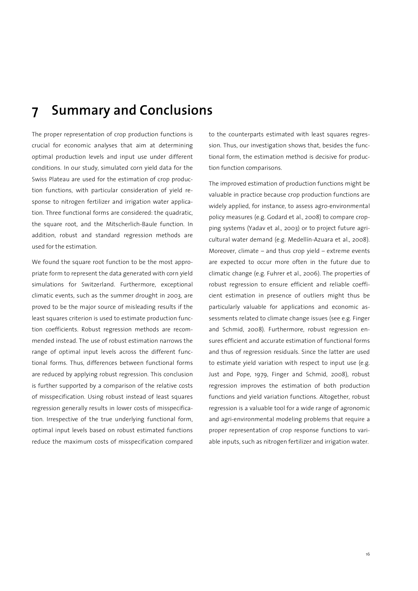## **7 Summary and Conclusions**

The proper representation of crop production functions is crucial for economic analyses that aim at determining optimal production levels and input use under different conditions. In our study, simulated corn yield data for the Swiss Plateau are used for the estimation of crop production functions, with particular consideration of yield response to nitrogen fertilizer and irrigation water application. Three functional forms are considered: the quadratic, the square root, and the Mitscherlich-Baule function. In addition, robust and standard regression methods are used for the estimation.

We found the square root function to be the most appropriate form to represent the data generated with corn yield simulations for Switzerland. Furthermore, exceptional climatic events, such as the summer drought in 2003, are proved to be the major source of misleading results if the least squares criterion is used to estimate production function coefficients. Robust regression methods are recommended instead. The use of robust estimation narrows the range of optimal input levels across the different functional forms. Thus, differences between functional forms are reduced by applying robust regression. This conclusion is further supported by a comparison of the relative costs of misspecification. Using robust instead of least squares regression generally results in lower costs of misspecification. Irrespective of the true underlying functional form, optimal input levels based on robust estimated functions reduce the maximum costs of misspecification compared to the counterparts estimated with least squares regression. Thus, our investigation shows that, besides the functional form, the estimation method is decisive for production function comparisons.

The improved estimation of production functions might be valuable in practice because crop production functions are widely applied, for instance, to assess agro-environmental policy measures (e.g. Godard et al., 2008) to compare cropping systems (Yadav et al., 2003) or to project future agricultural water demand (e.g. Medellín-Azuara et al., 2008). Moreover, climate – and thus crop yield – extreme events are expected to occur more often in the future due to climatic change (e.g. Fuhrer et al., 2006). The properties of robust regression to ensure efficient and reliable coefficient estimation in presence of outliers might thus be particularly valuable for applications and economic assessments related to climate change issues (see e.g. Finger and Schmid, 2008). Furthermore, robust regression ensures efficient and accurate estimation of functional forms and thus of regression residuals. Since the latter are used to estimate yield variation with respect to input use (e.g. Just and Pope, 1979, Finger and Schmid, 2008), robust regression improves the estimation of both production functions and yield variation functions. Altogether, robust regression is a valuable tool for a wide range of agronomic and agri-environmental modeling problems that require a proper representation of crop response functions to variable inputs, such as nitrogen fertilizer and irrigation water.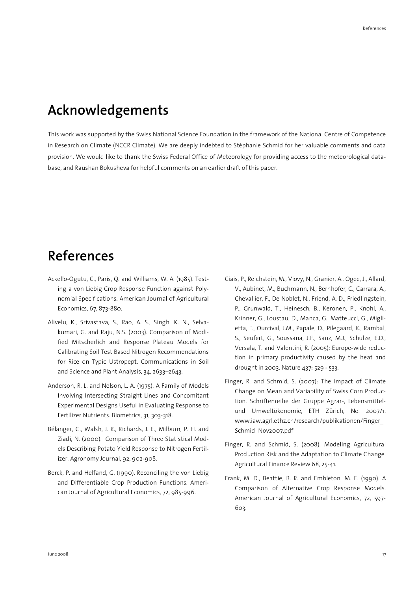### **Acknowledgements**

This work was supported by the Swiss National Science Foundation in the framework of the National Centre of Competence in Research on Climate (NCCR Climate). We are deeply indebted to Stéphanie Schmid for her valuable comments and data provision. We would like to thank the Swiss Federal Office of Meteorology for providing access to the meteorological database, and Raushan Bokusheva for helpful comments on an earlier draft of this paper.

## **References**

- Ackello-Ogutu, C., Paris, Q. and Williams, W. A. (1985). Testing a von Liebig Crop Response Function against Polynomial Specifications. American Journal of Agricultural Economics, 67, 873-880.
- Alivelu, K., Srivastava, S., Rao, A. S., Singh, K. N., Selvakumari, G. and Raju, N.S. (2003). Comparison of Modified Mitscherlich and Response Plateau Models for Calibrating Soil Test Based Nitrogen Recommendations for Rice on Typic Ustropept. Communications in Soil and Science and Plant Analysis, 34, 2633–2643.
- Anderson, R. L. and Nelson, L. A. (1975). A Family of Models Involving Intersecting Straight Lines and Concomitant Experimental Designs Useful in Evaluating Response to Fertilizer Nutrients. Biometrics, 31, 303-318.
- Bélanger, G., Walsh, J. R., Richards, J. E., Milburn, P. H. and Ziadi, N. (2000). Comparison of Three Statistical Models Describing Potato Yield Response to Nitrogen Fertilizer. Agronomy Journal, 92, 902-908.
- Berck, P. and Helfand, G. (1990). Reconciling the von Liebig and Differentiable Crop Production Functions. American Journal of Agricultural Economics, 72, 985-996.
- Ciais, P., Reichstein, M., Viovy, N., Granier, A., Ogee, J., Allard, V., Aubinet, M., Buchmann, N., Bernhofer, C., Carrara, A., Chevallier, F., De Noblet, N., Friend, A. D., Friedlingstein, P., Grunwald, T., Heinesch, B., Keronen, P., Knohl, A., Krinner, G., Loustau, D., Manca, G., Matteucci, G., Miglietta, F., Ourcival, J.M., Papale, D., Pilegaard, K., Rambal, S., Seufert, G., Soussana, J.F., Sanz, M.J., Schulze, E.D., Versala, T. and Valentini, R. (2005): Europe-wide reduction in primary productivity caused by the heat and drought in 2003. Nature 437: 529 - 533.
- Finger, R. and Schmid, S. (2007): The Impact of Climate Change on Mean and Variability of Swiss Corn Production. Schriftenreihe der Gruppe Agrar-, Lebensmittelund Umweltökonomie, ETH Zürich, No. 2007/1. www.iaw.agrl.ethz.ch/research/publikationen/Finger\_ Schmid\_Nov2007.pdf
- Finger, R. and Schmid, S. (2008). Modeling Agricultural Production Risk and the Adaptation to Climate Change. Agricultural Finance Review 68, 25-41.
- Frank, M. D., Beattie, B. R. and Embleton, M. E. (1990). A Comparison of Alternative Crop Response Models. American Journal of Agricultural Economics, 72, 597- 603.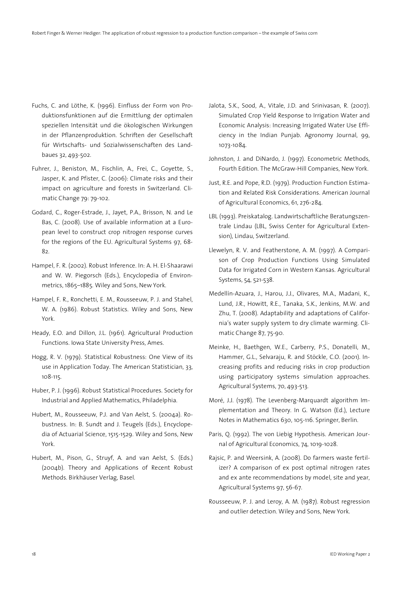- Fuchs, C. and Löthe, K. (1996). Einfluss der Form von Produktionsfunktionen auf die Ermittlung der optimalen speziellen Intensität und die ökologischen Wirkungen in der Pflanzenproduktion. Schriften der Gesellschaft für Wirtschafts- und Sozialwissenschaften des Landbaues 32, 493-502.
- Fuhrer, J., Beniston, M., Fischlin, A., Frei, C., Goyette, S., Jasper, K. and Pfister, C. (2006): Climate risks and their impact on agriculture and forests in Switzerland. Climatic Change 79: 79-102.
- Godard, C., Roger-Estrade, J., Jayet, P.A., Brisson, N. and Le Bas, C. (2008). Use of available information at a European level to construct crop nitrogen response curves for the regions of the EU. Agricultural Systems 97, 68- 82.
- Hampel, F. R. (2002). Robust Inference. In: A. H. El-Shaarawi and W. W. Piegorsch (Eds.), Encyclopedia of Environmetrics, 1865–1885. Wiley and Sons, New York.
- Hampel, F. R., Ronchetti, E. M., Rousseeuw, P. J. and Stahel, W. A. (1986). Robust Statistics. Wiley and Sons, New York.
- Heady, E.O. and Dillon, J.L. (1961). Agricultural Production Functions. Iowa State University Press, Ames.
- Hogg, R. V. (1979). Statistical Robustness: One View of its use in Application Today. The American Statistician, 33, 108-115.
- Huber, P. J. (1996). Robust Statistical Procedures. Society for Industrial and Applied Mathematics, Philadelphia.
- Hubert, M., Rousseeuw, P.J. and Van Aelst, S. (2004a). Robustness. In: B. Sundt and J. Teugels (Eds.), Encyclopedia of Actuarial Science, 1515-1529. Wiley and Sons, New York.
- Hubert, M., Pison, G., Struyf, A. and van Aelst, S. (Eds.) (2004b). Theory and Applications of Recent Robust Methods. Birkhäuser Verlag, Basel.
- Jalota, S.K., Sood, A., Vitale, J.D. and Srinivasan, R. (2007). Simulated Crop Yield Response to Irrigation Water and Economic Analysis: Increasing Irrigated Water Use Efficiency in the Indian Punjab. Agronomy Journal, 99, 1073-1084.
- Johnston, J. and DiNardo, J. (1997). Econometric Methods, Fourth Edition. The McGraw-Hill Companies, New York.
- Just, R.E. and Pope, R.D. (1979). Production Function Estimation and Related Risk Considerations. American Journal of Agricultural Economics, 61, 276-284.
- LBL (1993). Preiskatalog. Landwirtschaftliche Beratungszentrale Lindau (LBL, Swiss Center for Agricultural Extension), Lindau, Switzerland.
- Llewelyn, R. V. and Featherstone, A. M. (1997). A Comparison of Crop Production Functions Using Simulated Data for Irrigated Corn in Western Kansas. Agricultural Systems, 54, 521-538.
- Medellín-Azuara, J., Harou, J.J., Olivares, M.A., Madani, K., Lund, J.R., Howitt, R.E., Tanaka, S.K., Jenkins, M.W. and Zhu, T. (2008). Adaptability and adaptations of California's water supply system to dry climate warming. Climatic Change 87, 75-90.
- Meinke, H., Baethgen, W.E., Carberry, P.S., Donatelli, M., Hammer, G.L., Selvaraju, R. and Stöckle, C.O. (2001). Increasing profits and reducing risks in crop production using participatory systems simulation approaches. Agricultural Systems, 70, 493-513.
- Moré, J.J. (1978). The Levenberg-Marquardt algorithm Implementation and Theory. In G. Watson (Ed.), Lecture Notes in Mathematics 630, 105-116. Springer, Berlin.
- Paris, Q. (1992). The von Liebig Hypothesis. American Journal of Agricultural Economics, 74, 1019-1028.
- Rajsic, P. and Weersink, A. (2008). Do farmers waste fertilizer? A comparison of ex post optimal nitrogen rates and ex ante recommendations by model, site and year, Agricultural Systems 97, 56-67.
- Rousseeuw, P. J. and Leroy, A. M. (1987). Robust regression and outlier detection. Wiley and Sons, New York.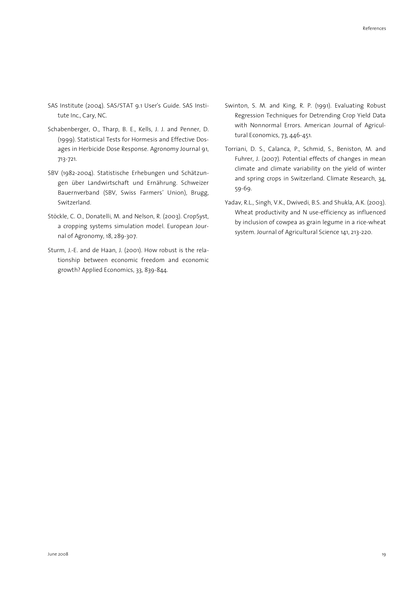- SAS Institute (2004). SAS/STAT 9.1 User's Guide. SAS Institute Inc., Cary, NC.
- Schabenberger, O., Tharp, B. E., Kells, J. J. and Penner, D. (1999). Statistical Tests for Hormesis and Effective Dosages in Herbicide Dose Response. Agronomy Journal 91, 713-721.
- SBV (1982-2004). Statistische Erhebungen und Schätzungen über Landwirtschaft und Ernährung. Schweizer Bauernverband (SBV, Swiss Farmers' Union), Brugg, Switzerland.
- Stöckle, C. O., Donatelli, M. and Nelson, R. (2003). CropSyst, a cropping systems simulation model. European Journal of Agronomy, 18, 289-307.
- Sturm, J.-E. and de Haan, J. (2001). How robust is the relationship between economic freedom and economic growth? Applied Economics, 33, 839-844.
- Swinton, S. M. and King, R. P. (1991). Evaluating Robust Regression Techniques for Detrending Crop Yield Data with Nonnormal Errors. American Journal of Agricultural Economics, 73, 446-451.
- Torriani, D. S., Calanca, P., Schmid, S., Beniston, M. and Fuhrer, J. (2007). Potential effects of changes in mean climate and climate variability on the yield of winter and spring crops in Switzerland. Climate Research, 34, 59-69.
- Yadav, R.L., Singh, V.K., Dwivedi, B.S. and Shukla, A.K. (2003). Wheat productivity and N use-efficiency as influenced by inclusion of cowpea as grain legume in a rice-wheat system. Journal of Agricultural Science 141, 213-220.